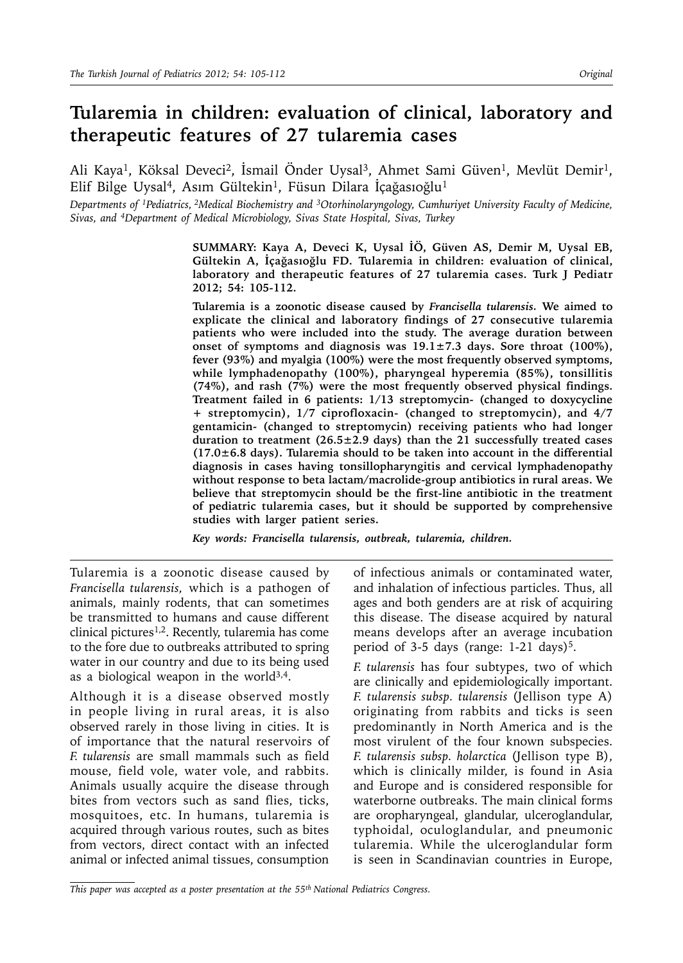# **Tularemia in children: evaluation of clinical, laboratory and therapeutic features of 27 tularemia cases**

Ali Kaya<sup>1</sup>, Köksal Deveci<sup>2</sup>, İsmail Önder Uysal<sup>3</sup>, Ahmet Sami Güven<sup>1</sup>, Mevlüt Demir<sup>1</sup>, Elif Bilge Uysal<sup>4</sup>, Asım Gültekin<sup>1</sup>, Füsun Dilara İçağasıoğlu<sup>1</sup>

*Departments of 1Pediatrics, 2Medical Biochemistry and 3Otorhinolaryngology, Cumhuriyet University Faculty of Medicine, Sivas, and 4Department of Medical Microbiology, Sivas State Hospital, Sivas, Turkey*

> **SUMMARY: Kaya A, Deveci K, Uysal İÖ, Güven AS, Demir M, Uysal EB, Gültekin A, İçağasıoğlu FD. Tularemia in children: evaluation of clinical, laboratory and therapeutic features of 27 tularemia cases. Turk J Pediatr 2012; 54: 105-112.**

> **Tularemia is a zoonotic disease caused by** *Francisella tularensis.* **We aimed to explicate the clinical and laboratory findings of 27 consecutive tularemia patients who were included into the study. The average duration between onset of symptoms and diagnosis was 19.1±7.3 days. Sore throat (100%), fever (93%) and myalgia (100%) were the most frequently observed symptoms, while lymphadenopathy (100%), pharyngeal hyperemia (85%), tonsillitis (74%), and rash (7%) were the most frequently observed physical findings. Treatment failed in 6 patients: 1/13 streptomycin- (changed to doxycycline + streptomycin), 1/7 ciprofloxacin- (changed to streptomycin), and 4/7 gentamicin- (changed to streptomycin) receiving patients who had longer duration to treatment (26.5±2.9 days) than the 21 successfully treated cases (17.0±6.8 days). Tularemia should to be taken into account in the differential diagnosis in cases having tonsillopharyngitis and cervical lymphadenopathy without response to beta lactam/macrolide-group antibiotics in rural areas. We believe that streptomycin should be the first-line antibiotic in the treatment of pediatric tularemia cases, but it should be supported by comprehensive studies with larger patient series.**

*Key words: Francisella tularensis, outbreak, tularemia, children.*

Tularemia is a zoonotic disease caused by *Francisella tularensis,* which is a pathogen of animals, mainly rodents, that can sometimes be transmitted to humans and cause different clinical pictures<sup>1,2</sup>. Recently, tularemia has come to the fore due to outbreaks attributed to spring water in our country and due to its being used as a biological weapon in the world<sup>3,4</sup>.

Although it is a disease observed mostly in people living in rural areas, it is also observed rarely in those living in cities. It is of importance that the natural reservoirs of *F. tularensis* are small mammals such as field mouse, field vole, water vole, and rabbits. Animals usually acquire the disease through bites from vectors such as sand flies, ticks, mosquitoes, etc. In humans, tularemia is acquired through various routes, such as bites from vectors, direct contact with an infected animal or infected animal tissues, consumption

of infectious animals or contaminated water, and inhalation of infectious particles. Thus, all ages and both genders are at risk of acquiring this disease. The disease acquired by natural means develops after an average incubation period of 3-5 days (range:  $1-21$  days)<sup>5</sup>.

*F. tularensis* has four subtypes, two of which are clinically and epidemiologically important. *F. tularensis subsp. tularensis* (Jellison type A) originating from rabbits and ticks is seen predominantly in North America and is the most virulent of the four known subspecies. *F. tularensis subsp. holarctica* (Jellison type B), which is clinically milder, is found in Asia and Europe and is considered responsible for waterborne outbreaks. The main clinical forms are oropharyngeal, glandular, ulceroglandular, typhoidal, oculoglandular, and pneumonic tularemia. While the ulceroglandular form is seen in Scandinavian countries in Europe,

*This paper was accepted as a poster presentation at the 55th National Pediatrics Congress.*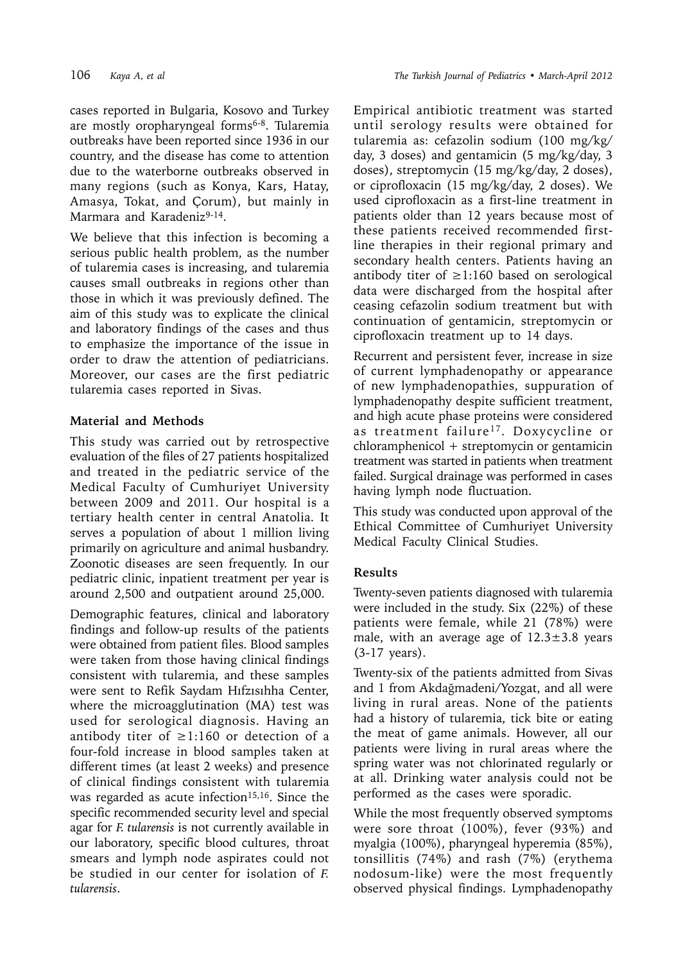cases reported in Bulgaria, Kosovo and Turkey are mostly oropharyngeal forms<sup>6-8</sup>. Tularemia outbreaks have been reported since 1936 in our country, and the disease has come to attention due to the waterborne outbreaks observed in many regions (such as Konya, Kars, Hatay, Amasya, Tokat, and Çorum), but mainly in Marmara and Karadeniz<sup>9-14</sup>.

We believe that this infection is becoming a serious public health problem, as the number of tularemia cases is increasing, and tularemia causes small outbreaks in regions other than those in which it was previously defined. The aim of this study was to explicate the clinical and laboratory findings of the cases and thus to emphasize the importance of the issue in order to draw the attention of pediatricians. Moreover, our cases are the first pediatric tularemia cases reported in Sivas.

### **Material and Methods**

This study was carried out by retrospective evaluation of the files of 27 patients hospitalized and treated in the pediatric service of the Medical Faculty of Cumhuriyet University between 2009 and 2011. Our hospital is a tertiary health center in central Anatolia. It serves a population of about 1 million living primarily on agriculture and animal husbandry. Zoonotic diseases are seen frequently. In our pediatric clinic, inpatient treatment per year is around 2,500 and outpatient around 25,000.

Demographic features, clinical and laboratory findings and follow-up results of the patients were obtained from patient files. Blood samples were taken from those having clinical findings consistent with tularemia, and these samples were sent to Refik Saydam Hıfzısıhha Center, where the microagglutination (MA) test was used for serological diagnosis. Having an antibody titer of ≥1:160 or detection of a four-fold increase in blood samples taken at different times (at least 2 weeks) and presence of clinical findings consistent with tularemia was regarded as acute infection<sup>15,16</sup>. Since the specific recommended security level and special agar for *F. tularensis* is not currently available in our laboratory, specific blood cultures, throat smears and lymph node aspirates could not be studied in our center for isolation of *F. tularensis*.

Empirical antibiotic treatment was started until serology results were obtained for tularemia as: cefazolin sodium (100 mg/kg/ day, 3 doses) and gentamicin (5 mg/kg/day, 3 doses), streptomycin (15 mg/kg/day, 2 doses), or ciprofloxacin (15 mg/kg/day, 2 doses). We used ciprofloxacin as a first-line treatment in patients older than 12 years because most of these patients received recommended firstline therapies in their regional primary and secondary health centers. Patients having an antibody titer of ≥1:160 based on serological data were discharged from the hospital after ceasing cefazolin sodium treatment but with continuation of gentamicin, streptomycin or ciprofloxacin treatment up to 14 days.

Recurrent and persistent fever, increase in size of current lymphadenopathy or appearance of new lymphadenopathies, suppuration of lymphadenopathy despite sufficient treatment, and high acute phase proteins were considered as treatment failure<sup>17</sup>. Doxycycline or chloramphenicol + streptomycin or gentamicin treatment was started in patients when treatment failed. Surgical drainage was performed in cases having lymph node fluctuation.

This study was conducted upon approval of the Ethical Committee of Cumhuriyet University Medical Faculty Clinical Studies.

## **Results**

Twenty-seven patients diagnosed with tularemia were included in the study. Six (22%) of these patients were female, while 21 (78%) were male, with an average age of  $12.3 \pm 3.8$  years (3-17 years).

Twenty-six of the patients admitted from Sivas and 1 from Akdağmadeni/Yozgat, and all were living in rural areas. None of the patients had a history of tularemia, tick bite or eating the meat of game animals. However, all our patients were living in rural areas where the spring water was not chlorinated regularly or at all. Drinking water analysis could not be performed as the cases were sporadic.

While the most frequently observed symptoms were sore throat (100%), fever (93%) and myalgia (100%), pharyngeal hyperemia (85%), tonsillitis (74%) and rash (7%) (erythema nodosum-like) were the most frequently observed physical findings. Lymphadenopathy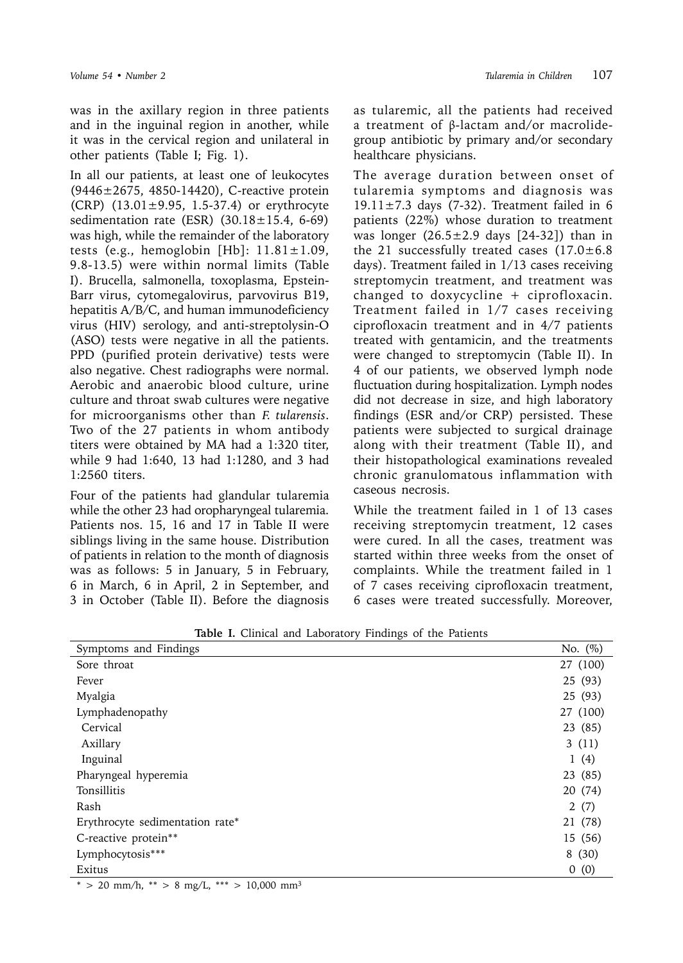was in the axillary region in three patients and in the inguinal region in another, while it was in the cervical region and unilateral in other patients (Table I; Fig. 1).

In all our patients, at least one of leukocytes (9446±2675, 4850-14420), C-reactive protein (CRP)  $(13.01 \pm 9.95, 1.5 - 37.4)$  or erythrocyte sedimentation rate (ESR)  $(30.18 \pm 15.4, 6-69)$ was high, while the remainder of the laboratory tests (e.g., hemoglobin [Hb]:  $11.81 \pm 1.09$ , 9.8-13.5) were within normal limits (Table I). Brucella, salmonella, toxoplasma, Epstein-Barr virus, cytomegalovirus, parvovirus B19, hepatitis A/B/C, and human immunodeficiency virus (HIV) serology, and anti-streptolysin-O (ASO) tests were negative in all the patients. PPD (purified protein derivative) tests were also negative. Chest radiographs were normal. Aerobic and anaerobic blood culture, urine culture and throat swab cultures were negative for microorganisms other than *F. tularensis*. Two of the 27 patients in whom antibody titers were obtained by MA had a 1:320 titer, while 9 had 1:640, 13 had 1:1280, and 3 had 1:2560 titers.

Four of the patients had glandular tularemia while the other 23 had oropharyngeal tularemia. Patients nos. 15, 16 and 17 in Table II were siblings living in the same house. Distribution of patients in relation to the month of diagnosis was as follows: 5 in January, 5 in February, 6 in March, 6 in April, 2 in September, and 3 in October (Table II). Before the diagnosis

as tularemic, all the patients had received a treatment of β-lactam and/or macrolidegroup antibiotic by primary and/or secondary healthcare physicians.

The average duration between onset of tularemia symptoms and diagnosis was  $19.11 \pm 7.3$  days (7-32). Treatment failed in 6 patients (22%) whose duration to treatment was longer  $(26.5 \pm 2.9$  days  $[24-32]$  than in the 21 successfully treated cases  $(17.0 \pm 6.8)$ days). Treatment failed in 1/13 cases receiving streptomycin treatment, and treatment was changed to doxycycline  $+$  ciprofloxacin. Treatment failed in 1/7 cases receiving ciprofloxacin treatment and in 4/7 patients treated with gentamicin, and the treatments were changed to streptomycin (Table II). In 4 of our patients, we observed lymph node fluctuation during hospitalization. Lymph nodes did not decrease in size, and high laboratory findings (ESR and/or CRP) persisted. These patients were subjected to surgical drainage along with their treatment (Table II), and their histopathological examinations revealed chronic granulomatous inflammation with caseous necrosis.

While the treatment failed in 1 of 13 cases receiving streptomycin treatment, 12 cases were cured. In all the cases, treatment was started within three weeks from the onset of complaints. While the treatment failed in 1 of 7 cases receiving ciprofloxacin treatment, 6 cases were treated successfully. Moreover,

| No. $(\%)$<br>Symptoms and Findings<br>27 (100)<br>Sore throat<br>25 (93)<br>Fever<br>Myalgia<br>25 (93)<br>27 (100)<br>Lymphadenopathy<br>Cervical<br>23 (85)<br>3(11)<br>Axillary<br>Inguinal<br>1(4)<br>23 (85)<br>Pharyngeal hyperemia<br>Tonsillitis<br>20 (74)<br>Rash<br>2(7)<br>21 (78)<br>Erythrocyte sedimentation rate*<br>C-reactive protein**<br>15 (56)<br>Lymphocytosis***<br>8(30)<br>Exitus<br>0(0) | $\frac{1}{2}$ |  |
|----------------------------------------------------------------------------------------------------------------------------------------------------------------------------------------------------------------------------------------------------------------------------------------------------------------------------------------------------------------------------------------------------------------------|---------------|--|
|                                                                                                                                                                                                                                                                                                                                                                                                                      |               |  |
|                                                                                                                                                                                                                                                                                                                                                                                                                      |               |  |
|                                                                                                                                                                                                                                                                                                                                                                                                                      |               |  |
|                                                                                                                                                                                                                                                                                                                                                                                                                      |               |  |
|                                                                                                                                                                                                                                                                                                                                                                                                                      |               |  |
|                                                                                                                                                                                                                                                                                                                                                                                                                      |               |  |
|                                                                                                                                                                                                                                                                                                                                                                                                                      |               |  |
|                                                                                                                                                                                                                                                                                                                                                                                                                      |               |  |
|                                                                                                                                                                                                                                                                                                                                                                                                                      |               |  |
|                                                                                                                                                                                                                                                                                                                                                                                                                      |               |  |
|                                                                                                                                                                                                                                                                                                                                                                                                                      |               |  |
|                                                                                                                                                                                                                                                                                                                                                                                                                      |               |  |
|                                                                                                                                                                                                                                                                                                                                                                                                                      |               |  |
|                                                                                                                                                                                                                                                                                                                                                                                                                      |               |  |
|                                                                                                                                                                                                                                                                                                                                                                                                                      |               |  |

**Table I.** Clinical and Laboratory Findings of the Patients

 $*$  > 20 mm/h,  $**$  > 8 mg/L,  $***$  > 10,000 mm<sup>3</sup>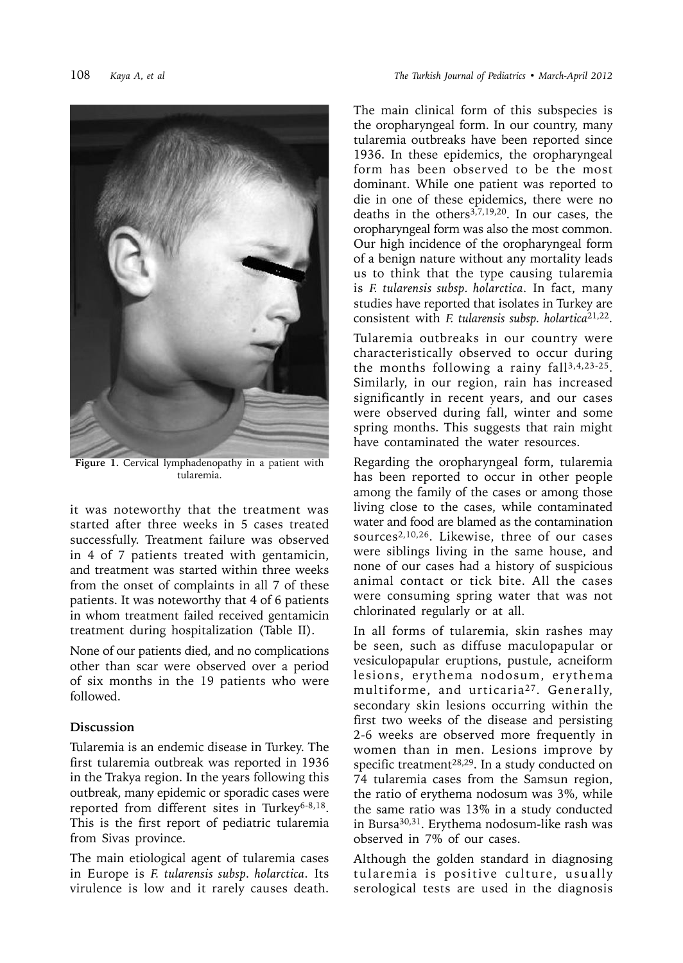

**Figure 1.** Cervical lymphadenopathy in a patient with tularemia.

it was noteworthy that the treatment was started after three weeks in 5 cases treated successfully. Treatment failure was observed in 4 of 7 patients treated with gentamicin, and treatment was started within three weeks from the onset of complaints in all 7 of these patients. It was noteworthy that 4 of 6 patients in whom treatment failed received gentamicin treatment during hospitalization (Table II).

None of our patients died, and no complications other than scar were observed over a period of six months in the 19 patients who were followed.

#### **Discussion**

Tularemia is an endemic disease in Turkey. The first tularemia outbreak was reported in 1936 in the Trakya region. In the years following this outbreak, many epidemic or sporadic cases were reported from different sites in Turkey<sup>6-8,18</sup>. This is the first report of pediatric tularemia from Sivas province.

The main etiological agent of tularemia cases in Europe is *F. tularensis subsp. holarctica*. Its virulence is low and it rarely causes death.

The main clinical form of this subspecies is the oropharyngeal form. In our country, many tularemia outbreaks have been reported since 1936. In these epidemics, the oropharyngeal form has been observed to be the most dominant. While one patient was reported to die in one of these epidemics, there were no deaths in the others<sup>3,7,19,20</sup>. In our cases, the oropharyngeal form was also the most common. Our high incidence of the oropharyngeal form of a benign nature without any mortality leads us to think that the type causing tularemia is *F. tularensis subsp. holarctica*. In fact, many studies have reported that isolates in Turkey are consistent with *F. tularensis subsp. holartica*21,22.

Tularemia outbreaks in our country were characteristically observed to occur during the months following a rainy fall<sup>3,4,23-25</sup>. Similarly, in our region, rain has increased significantly in recent years, and our cases were observed during fall, winter and some spring months. This suggests that rain might have contaminated the water resources.

Regarding the oropharyngeal form, tularemia has been reported to occur in other people among the family of the cases or among those living close to the cases, while contaminated water and food are blamed as the contamination sources2,10,26. Likewise, three of our cases were siblings living in the same house, and none of our cases had a history of suspicious animal contact or tick bite. All the cases were consuming spring water that was not chlorinated regularly or at all.

In all forms of tularemia, skin rashes may be seen, such as diffuse maculopapular or vesiculopapular eruptions, pustule, acneiform lesions, erythema nodosum, erythema multiforme, and urticaria27. Generally, secondary skin lesions occurring within the first two weeks of the disease and persisting 2-6 weeks are observed more frequently in women than in men. Lesions improve by specific treatment<sup>28,29</sup>. In a study conducted on 74 tularemia cases from the Samsun region, the ratio of erythema nodosum was 3%, while the same ratio was 13% in a study conducted in Bursa30,31. Erythema nodosum-like rash was observed in 7% of our cases.

Although the golden standard in diagnosing tularemia is positive culture, usually serological tests are used in the diagnosis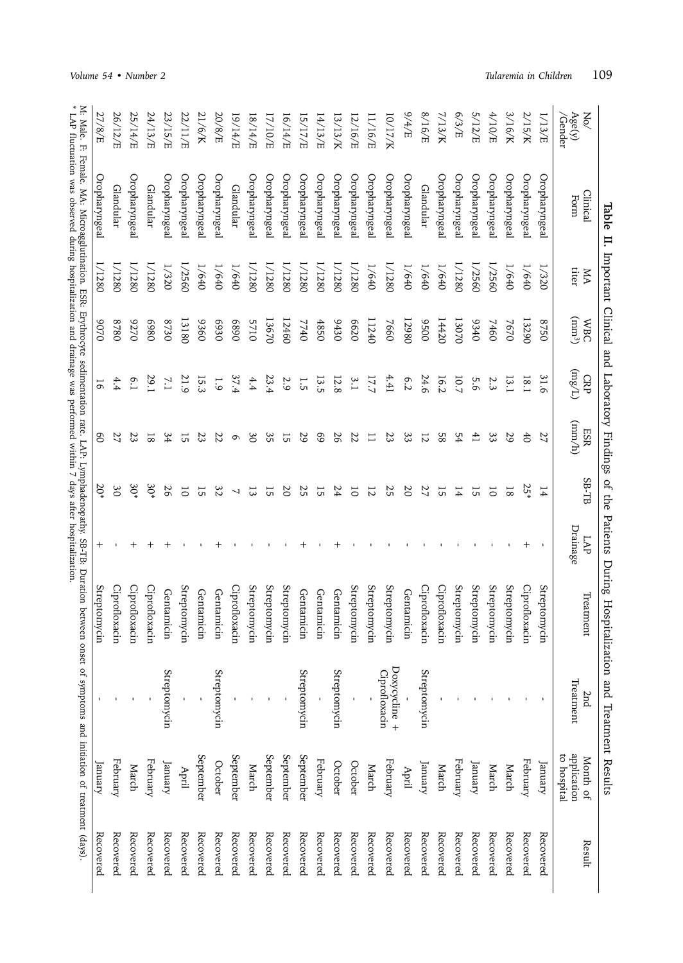|                                |                                                                                                                                                                                                                                |             |                        |                 |                 |                 |                 | Table II. Important Clinical and Laboratory Findings of the Patients During Hospitalization and Treatment Results |                                |                                        |           |
|--------------------------------|--------------------------------------------------------------------------------------------------------------------------------------------------------------------------------------------------------------------------------|-------------|------------------------|-----------------|-----------------|-----------------|-----------------|-------------------------------------------------------------------------------------------------------------------|--------------------------------|----------------------------------------|-----------|
| Age(y)<br>$\lesssim$<br>Gender | Clinical<br>Form                                                                                                                                                                                                               | titer<br>УN | $(mm^3)$<br><b>WBC</b> | (1/8u)<br>CRP   | (rmm)<br>ESR    | SB-TB           | Drainage<br>LAP | Ireatment                                                                                                         | Treatment<br>2nd               | application<br>to hospital<br>Month of | Result    |
| 1/13/E                         | Oropharyngeal                                                                                                                                                                                                                  | 1/320       | 0528                   | 31.6            | 27              | 14              |                 | Streptomycin                                                                                                      |                                | January                                | Recovered |
| 2/15/K                         | Oropharyngeal                                                                                                                                                                                                                  | 1/640       | 13290                  | 18.1            | 6 <sup>4</sup>  | 25*             |                 | Ciprofloxacin                                                                                                     |                                | February                               | Recovered |
| 3/16/K                         | Oropharyngeal                                                                                                                                                                                                                  | 1/640       | 7670                   | 13.1            | 29              | $\overline{8}$  |                 | Streptomycin                                                                                                      |                                | March                                  | Recovered |
| 4/10/E                         | Oropharyngeal                                                                                                                                                                                                                  | 1/2560      | 7460                   | 2.3             | 33              | $\overline{0}$  |                 | Streptomycin                                                                                                      |                                | March                                  | Recovered |
| 5/12/E                         | Oropharyngeal                                                                                                                                                                                                                  | 1/2560      | 0340                   | 5.6             | $\overline{41}$ | 15              |                 | Streptomycin                                                                                                      |                                | January                                | Recovered |
| 6/3/E                          | Oropharyngeal                                                                                                                                                                                                                  | 1/1280      | 13070                  | 10.7            | 54              | 14              |                 | Streptomycin                                                                                                      |                                | February                               | Recovered |
| 7/13/K                         | Oropharyngeal                                                                                                                                                                                                                  | 1/640       | 14420                  | 16.2            | 85              | 15              |                 | Ciprofloxacin                                                                                                     |                                | March                                  | Recovered |
| 8/16/E                         | Glandular                                                                                                                                                                                                                      | 1/640       | 0056                   | 24.6            | $\overline{z}$  | 27              |                 | Ciprofloxacin                                                                                                     | Streptomycin                   | January                                | Recovered |
| 3/4/5                          | Oropharyngeal                                                                                                                                                                                                                  | 1/640       | 12980                  | 6.2             | 33              | $\overline{50}$ |                 | Gentamicin                                                                                                        |                                | April                                  | Recovered |
| 10/17/K                        | Oropharyngeal                                                                                                                                                                                                                  | 1/1280      | 7660                   | 4.41            | 23              | 25              |                 | Streptomycin                                                                                                      | Doxycycline +<br>Ciprofloxacin | February                               | Recovered |
| 11/16/E                        | Oropharyngeal                                                                                                                                                                                                                  | 1/640       | 11240                  | 17.7            | $\Xi$           | $\overline{z}$  |                 | Streptomycin                                                                                                      |                                | March                                  | Recovered |
| 2/16/E                         | Oropharyngeal                                                                                                                                                                                                                  | 1/1280      | 6620                   | 3.1             | 22              | $\overline{0}$  |                 | Streptomycin                                                                                                      |                                | October                                | Recovered |
| 13/13/K                        | Oropharyngeal                                                                                                                                                                                                                  | 1/1280      | 9430                   | 12.8            | 56              | 24              |                 | Gentamicin                                                                                                        | Streptomycin                   | October                                | Recovered |
| 14/13/E                        | Oropharyngeal                                                                                                                                                                                                                  | 1/1280      | 4850                   | 13.5            | 69              | 15              |                 | Gentamicin                                                                                                        |                                | February                               | Recovered |
| 3/11/5                         | Oropharyngeal                                                                                                                                                                                                                  | 1/1280      | 7740                   | 1.5             | 29              | 25              |                 | Gentamicin                                                                                                        | Streptomycin                   | September                              | Recovered |
| 16/14/E                        | Oropharyngeal                                                                                                                                                                                                                  | 1/1280      | 12460                  | 2.9             | 15              | $\overline{0}$  |                 | Streptomycin                                                                                                      |                                | September                              | Recovered |
| E/10/E                         | Oropharyngeal                                                                                                                                                                                                                  | 1/1280      | 13670                  | 23.4            | 35              | 15              |                 | Streptomycin                                                                                                      |                                | September                              | Recovered |
| 18/14/E                        | Oropharyngeal                                                                                                                                                                                                                  | 1/1280      | 5710                   | $4.4$           | 30              | 13              |                 | Streptomycin                                                                                                      |                                | March                                  | Recovered |
| E/414/E                        | Glandular                                                                                                                                                                                                                      | 1/640       | 0689                   | 37.4            | G               | $\overline{ }$  |                 | Ciprofloxacin                                                                                                     |                                | September                              | Recovered |
| 20/8/E                         | Oropharyngeal                                                                                                                                                                                                                  | 1/640       | 6930                   | $\overline{6}$  | 22              | 32              |                 | Gentamicin                                                                                                        | Streptomycin                   | October                                | Recovered |
| 21/6/K                         | Oropharyngeal                                                                                                                                                                                                                  | 1/640       | 0986                   | 15.3            |                 | 15              |                 | Gentamicin                                                                                                        |                                | September                              | Recovered |
| 22/11/E                        | Oropharyngeal                                                                                                                                                                                                                  | 1/2560      | 13180                  | 21.9            | 15              | $\overline{0}$  |                 | Streptomycin                                                                                                      |                                | April                                  | Recovered |
| 23/15/E                        | Oropharyngeal                                                                                                                                                                                                                  | 1/320       | 0220                   | $\overline{11}$ | 34              | 97              |                 | Gentamicin                                                                                                        | Streptomycin                   | January                                | Recovered |
| 24/13/E                        | Glandular                                                                                                                                                                                                                      | 1/1280      | 0869                   | 29.1            | $\overline{8}$  | $30*$           |                 | Ciprofloxacin                                                                                                     |                                | February                               | Recovered |
| 25/14/E                        | Oropharyngeal                                                                                                                                                                                                                  | 1/1280      | 0226                   | 6.1             | 23              | $30*$           | ┿               | Ciprofloxacin                                                                                                     |                                | March                                  | Recovered |
| 26/12/E                        | Glandular                                                                                                                                                                                                                      | 1/1280      | 0828                   |                 | 77              | $\mathcal{S}^0$ |                 | Ciprofloxacin                                                                                                     |                                | February                               | Recovered |
| 27/8/E                         | <b>Oropharyngeal</b>                                                                                                                                                                                                           | 1/1280      | 0206                   | <b>b</b>        | 80              | $20*$           | $^+$            | Streptomycin                                                                                                      |                                | January                                | Recovered |
|                                | M: Male. F: Female. MA: Microagglutination. ESR: Erythrocyte sedimentation rate. LAP: Lymphadenopathy. SB-TB: Duration between onset of symptoms and initiation of treatment (days). * LAP fluctuation was observed during hos |             |                        |                 |                 |                 |                 |                                                                                                                   |                                |                                        |           |
|                                |                                                                                                                                                                                                                                |             |                        |                 |                 |                 |                 |                                                                                                                   |                                |                                        |           |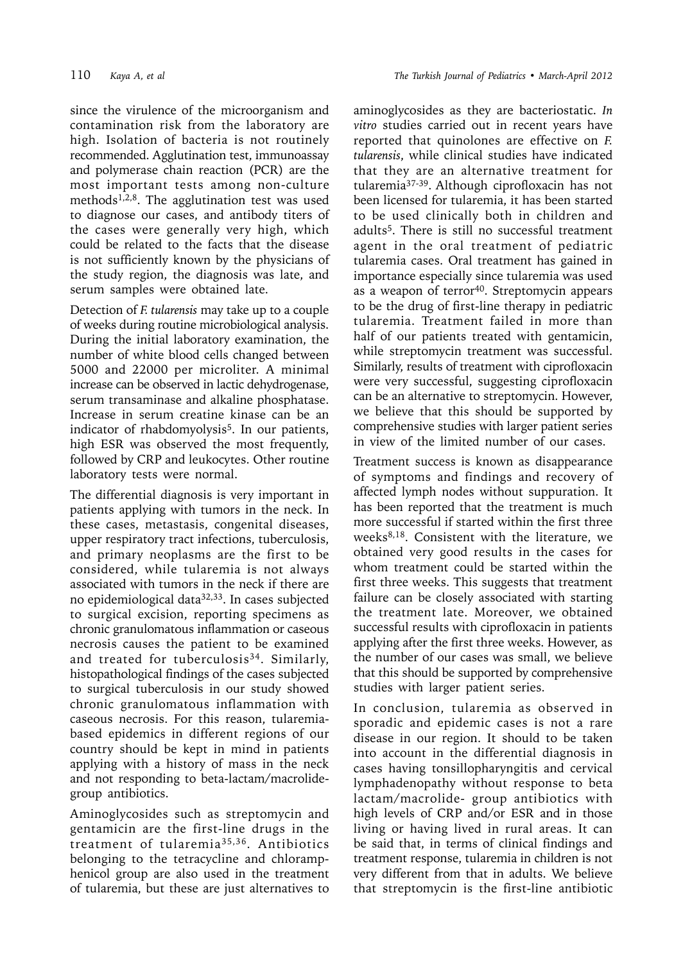since the virulence of the microorganism and contamination risk from the laboratory are high. Isolation of bacteria is not routinely recommended. Agglutination test, immunoassay and polymerase chain reaction (PCR) are the most important tests among non-culture methods<sup>1,2,8</sup>. The agglutination test was used to diagnose our cases, and antibody titers of the cases were generally very high, which could be related to the facts that the disease is not sufficiently known by the physicians of the study region, the diagnosis was late, and serum samples were obtained late.

Detection of *F. tularensis* may take up to a couple of weeks during routine microbiological analysis. During the initial laboratory examination, the number of white blood cells changed between 5000 and 22000 per microliter. A minimal increase can be observed in lactic dehydrogenase, serum transaminase and alkaline phosphatase. Increase in serum creatine kinase can be an indicator of rhabdomyolysis<sup>5</sup>. In our patients, high ESR was observed the most frequently, followed by CRP and leukocytes. Other routine laboratory tests were normal.

The differential diagnosis is very important in patients applying with tumors in the neck. In these cases, metastasis, congenital diseases, upper respiratory tract infections, tuberculosis, and primary neoplasms are the first to be considered, while tularemia is not always associated with tumors in the neck if there are no epidemiological data32,33. In cases subjected to surgical excision, reporting specimens as chronic granulomatous inflammation or caseous necrosis causes the patient to be examined and treated for tuberculosis<sup>34</sup>. Similarly, histopathological findings of the cases subjected to surgical tuberculosis in our study showed chronic granulomatous inflammation with caseous necrosis. For this reason, tularemiabased epidemics in different regions of our country should be kept in mind in patients applying with a history of mass in the neck and not responding to beta-lactam/macrolidegroup antibiotics.

Aminoglycosides such as streptomycin and gentamicin are the first-line drugs in the treatment of tularemia35,36. Antibiotics belonging to the tetracycline and chloramphenicol group are also used in the treatment of tularemia, but these are just alternatives to

aminoglycosides as they are bacteriostatic. *In vitro* studies carried out in recent years have reported that quinolones are effective on *F. tularensis*, while clinical studies have indicated that they are an alternative treatment for tularemia37-39. Although ciprofloxacin has not been licensed for tularemia, it has been started to be used clinically both in children and adults5. There is still no successful treatment agent in the oral treatment of pediatric tularemia cases. Oral treatment has gained in importance especially since tularemia was used as a weapon of terror<sup>40</sup>. Streptomycin appears to be the drug of first-line therapy in pediatric tularemia. Treatment failed in more than half of our patients treated with gentamicin, while streptomycin treatment was successful. Similarly, results of treatment with ciprofloxacin were very successful, suggesting ciprofloxacin can be an alternative to streptomycin. However, we believe that this should be supported by comprehensive studies with larger patient series in view of the limited number of our cases.

Treatment success is known as disappearance of symptoms and findings and recovery of affected lymph nodes without suppuration. It has been reported that the treatment is much more successful if started within the first three weeks<sup>8,18</sup>. Consistent with the literature, we obtained very good results in the cases for whom treatment could be started within the first three weeks. This suggests that treatment failure can be closely associated with starting the treatment late. Moreover, we obtained successful results with ciprofloxacin in patients applying after the first three weeks. However, as the number of our cases was small, we believe that this should be supported by comprehensive studies with larger patient series.

In conclusion, tularemia as observed in sporadic and epidemic cases is not a rare disease in our region. It should to be taken into account in the differential diagnosis in cases having tonsillopharyngitis and cervical lymphadenopathy without response to beta lactam/macrolide- group antibiotics with high levels of CRP and/or ESR and in those living or having lived in rural areas. It can be said that, in terms of clinical findings and treatment response, tularemia in children is not very different from that in adults. We believe that streptomycin is the first-line antibiotic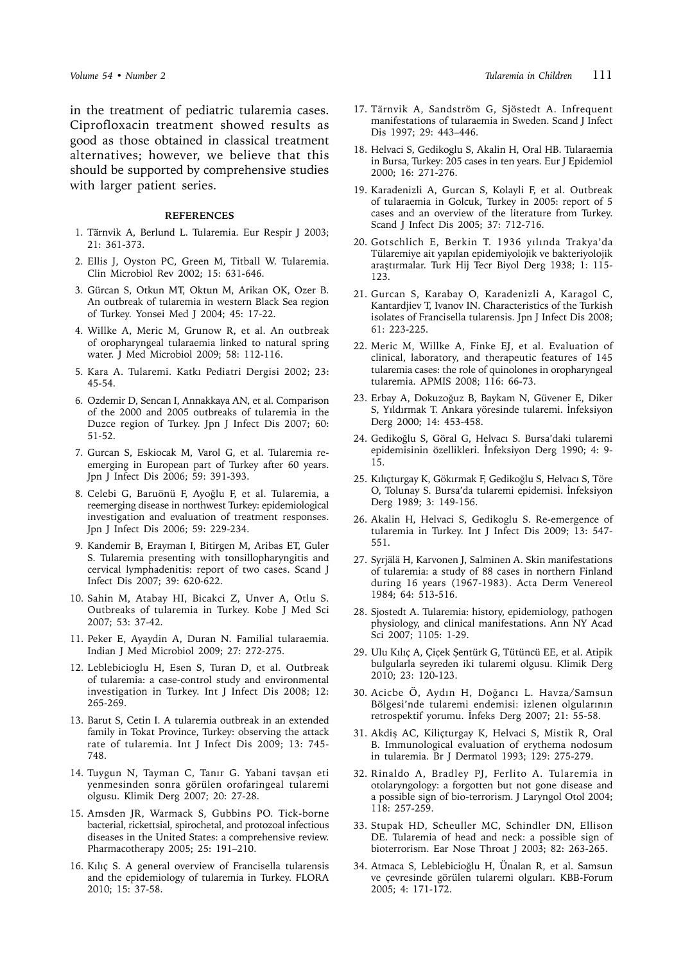in the treatment of pediatric tularemia cases. Ciprofloxacin treatment showed results as good as those obtained in classical treatment alternatives; however, we believe that this should be supported by comprehensive studies with larger patient series.

#### **REFERENCES**

- 1. Tärnvik A, Berlund L. Tularemia. Eur Respir J 2003; 21: 361-373.
- 2. Ellis J, Oyston PC, Green M, Titball W. Tularemia. Clin Microbiol Rev 2002; 15: 631-646.
- 3. Gürcan S, Otkun MT, Oktun M, Arikan OK, Ozer B. An outbreak of tularemia in western Black Sea region of Turkey. Yonsei Med J 2004; 45: 17-22.
- 4. Willke A, Meric M, Grunow R, et al. An outbreak of oropharyngeal tularaemia linked to natural spring water. J Med Microbiol 2009; 58: 112-116.
- 5. Kara A. Tularemi. Katkı Pediatri Dergisi 2002; 23: 45-54.
- 6. Ozdemir D, Sencan I, Annakkaya AN, et al. Comparison of the 2000 and 2005 outbreaks of tularemia in the Duzce region of Turkey. Jpn J Infect Dis 2007; 60: 51-52.
- 7. Gurcan S, Eskiocak M, Varol G, et al. Tularemia reemerging in European part of Turkey after 60 years. Jpn J Infect Dis 2006; 59: 391-393.
- 8. Celebi G, Baruönü F, Ayoğlu F, et al. Tularemia, a reemerging disease in northwest Turkey: epidemiological investigation and evaluation of treatment responses. Jpn J Infect Dis 2006; 59: 229-234.
- 9. Kandemir B, Erayman I, Bitirgen M, Aribas ET, Guler S. Tularemia presenting with tonsillopharyngitis and cervical lymphadenitis: report of two cases. Scand J Infect Dis 2007; 39: 620-622.
- 10. Sahin M, Atabay HI, Bicakci Z, Unver A, Otlu S. Outbreaks of tularemia in Turkey. Kobe J Med Sci 2007; 53: 37-42.
- 11. Peker E, Ayaydin A, Duran N. Familial tularaemia. Indian J Med Microbiol 2009; 27: 272-275.
- 12. Leblebicioglu H, Esen S, Turan D, et al. Outbreak of tularemia: a case-control study and environmental investigation in Turkey. Int J Infect Dis 2008; 12: 265-269.
- 13. Barut S, Cetin I. A tularemia outbreak in an extended family in Tokat Province, Turkey: observing the attack rate of tularemia. Int J Infect Dis 2009; 13: 745- 748.
- 14. Tuygun N, Tayman C, Tanır G. Yabani tavşan eti yenmesinden sonra görülen orofaringeal tularemi olgusu. Klimik Derg 2007; 20: 27-28.
- 15. Amsden JR, Warmack S, Gubbins PO. Tick-borne bacterial, rickettsial, spirochetal, and protozoal infectious diseases in the United States: a comprehensive review. Pharmacotherapy 2005; 25: 191–210.
- 16. Kılıç S. A general overview of Francisella tularensis and the epidemiology of tularemia in Turkey. FLORA 2010; 15: 37-58.
- 17. Tärnvik A, Sandström G, Sjöstedt A. Infrequent manifestations of tularaemia in Sweden. Scand J Infect Dis 1997; 29: 443–446.
- 18. Helvaci S, Gedikoglu S, Akalin H, Oral HB. Tularaemia in Bursa, Turkey: 205 cases in ten years. Eur J Epidemiol 2000; 16: 271-276.
- 19. Karadenizli A, Gurcan S, Kolayli F, et al. Outbreak of tularaemia in Golcuk, Turkey in 2005: report of 5 cases and an overview of the literature from Turkey. Scand J Infect Dis 2005; 37: 712-716.
- 20. Gotschlich E, Berkin T. 1936 yılında Trakya'da Tülaremiye ait yapılan epidemiyolojik ve bakteriyolojik araştırmalar. Turk Hij Tecr Biyol Derg 1938; 1: 115- 123.
- 21. Gurcan S, Karabay O, Karadenizli A, Karagol C, Kantardjiev T, Ivanov IN. Characteristics of the Turkish isolates of Francisella tularensis. Jpn J Infect Dis 2008; 61: 223-225.
- 22. Meric M, Willke A, Finke EJ, et al. Evaluation of clinical, laboratory, and therapeutic features of 145 tularemia cases: the role of quinolones in oropharyngeal tularemia. APMIS 2008; 116: 66-73.
- 23. Erbay A, Dokuzoğuz B, Baykam N, Güvener E, Diker S, Yıldırmak T. Ankara yöresinde tularemi. İnfeksiyon Derg 2000; 14: 453-458.
- 24. Gedikoğlu S, Göral G, Helvacı S. Bursa'daki tularemi epidemisinin özellikleri. İnfeksiyon Derg 1990; 4: 9- 15.
- 25. Kılıçturgay K, Gökırmak F, Gedikoğlu S, Helvacı S, Töre O, Tolunay S. Bursa'da tularemi epidemisi. İnfeksiyon Derg 1989; 3: 149-156.
- 26. Akalin H, Helvaci S, Gedikoglu S. Re-emergence of tularemia in Turkey. Int J Infect Dis 2009; 13: 547- 551.
- 27. Syrjälä H, Karvonen J, Salminen A. Skin manifestations of tularemia: a study of 88 cases in northern Finland during 16 years (1967-1983). Acta Derm Venereol 1984; 64: 513-516.
- 28. Sjostedt A. Tularemia: history, epidemiology, pathogen physiology, and clinical manifestations. Ann NY Acad Sci 2007; 1105: 1-29.
- 29. Ulu Kılıç A, Çiçek Şentürk G, Tütüncü EE, et al. Atipik bulgularla seyreden iki tularemi olgusu. Klimik Derg 2010; 23: 120-123.
- 30. Acicbe Ö, Aydın H, Doğancı L. Havza/Samsun Bölgesi'nde tularemi endemisi: izlenen olgularının retrospektif yorumu. İnfeks Derg 2007; 21: 55-58.
- 31. Akdiş AC, Kiliçturgay K, Helvaci S, Mistik R, Oral B. Immunological evaluation of erythema nodosum in tularemia. Br J Dermatol 1993; 129: 275-279.
- 32. Rinaldo A, Bradley PJ, Ferlito A. Tularemia in otolaryngology: a forgotten but not gone disease and a possible sign of bio-terrorism. J Laryngol Otol 2004; 118: 257-259.
- 33. Stupak HD, Scheuller MC, Schindler DN, Ellison DE. Tularemia of head and neck: a possible sign of bioterrorism. Ear Nose Throat J 2003; 82: 263-265.
- 34. Atmaca S, Leblebicioğlu H, Ünalan R, et al. Samsun ve çevresinde görülen tularemi olguları. KBB-Forum 2005; 4: 171-172.